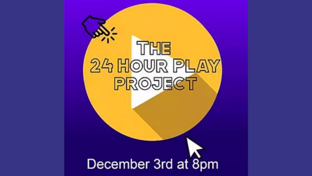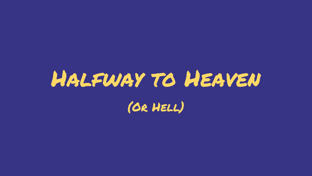## Halfway to Heaven (Or Hell)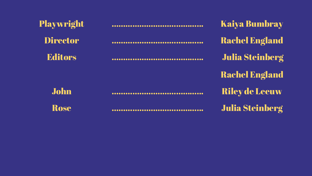| Playwright      | <b>Kaiya Bumbray</b>       |
|-----------------|----------------------------|
| <b>Director</b> | <b>Rachel England</b>      |
| <b>Editors</b>  | <br><b>Julia Steinberg</b> |
|                 | <b>Rachel England</b>      |
| <b>John</b>     | <br><b>Riley de Leeuw</b>  |
| Rose            | <br><b>Julia Steinberg</b> |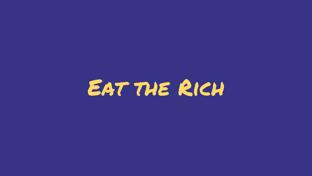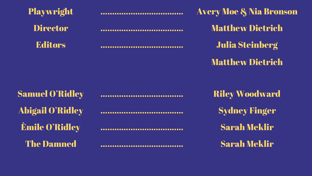

Playwright …………….……………….. Avery Moe & Nia Bronson Director …………….……………….. Matthew Dietrich Editors …………….……………….. Julia Steinberg Matthew Dietrich

Abigail O'Ridley …………….……………….. Sydney Finger Èmile O'Ridley …………….……………….. Sarah Meklir

Samuel O'Ridley …………….……………….. Riley Woodward The Damned …………….……………….. Sarah Meklir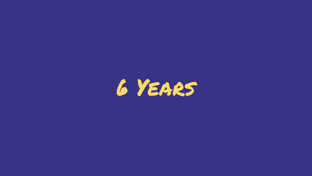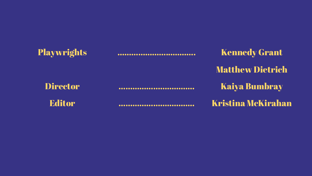Playwrights …………………………………… Kennedy Grant Matthew Dietrich Director …………………………… Kaiya Bumbray Editor …………………………… Kristina McKirahan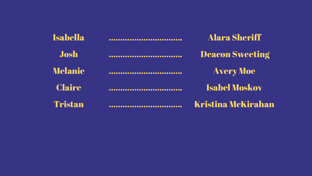| <b>Isabella</b> |         | <b>Alara Sheriff</b>   |
|-----------------|---------|------------------------|
| Josh            | <u></u> | <b>Deacon Sweeting</b> |
| <b>Melanie</b>  |         | <b>Avery Moe</b>       |
| <b>Claire</b>   |         | <b>Isabel Moskov</b>   |
| Tristan         |         | Kristina McKirahan     |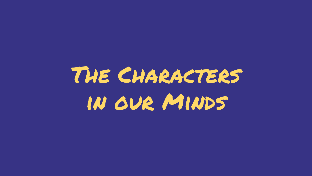## The Characters in our Minds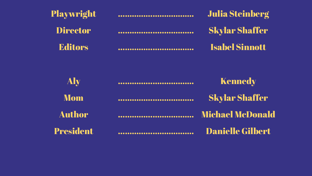| Playwright       | <br><b>Julia Steinberg</b>  |
|------------------|-----------------------------|
| <b>Director</b>  | <br><b>Skylar Shaffer</b>   |
| <b>Editors</b>   | <br><b>Isabel Sinnott</b>   |
| Aly              | <br><b>Kennedy</b>          |
| <b>Mom</b>       | <br><b>Skylar Shaffer</b>   |
| <b>Author</b>    | <b>Michael McDonald</b>     |
| <b>President</b> | <br><b>Danielle Gilbert</b> |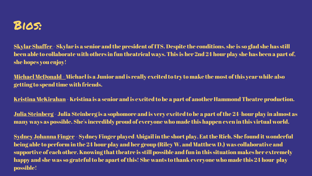

Skylar Shaffer - Skylar is a senior and the president of ITS. Despite the conditions, she is so glad she has still been able to collaborate with others in fun theatrical ways. This is her 2nd 24 hour play she has been a part of, she hopes you enjoy!

Michael McDonald - Michael is a Junior and is really excited to try to make the most of this year while also getting to spend time with friends.

Kristina McKirahan - Kristina is a senior and is excited to be a part of another Hammond Theatre production.

Julia Steinberg - Julia Steinberg is a sophomore and is very excited to be a part of the 24-hour play in almost as many ways as possible. She's incredibly proud of everyone who made this happen even in this virtual world.

Sydney Johanna Finger - Sydney Finger played Abigail in the short play, Eat the Rich. She found it wonderful being able to perform in the 24 hour play and her group (Riley W. and Matthew D.) was collaborative and supportive of each other. Knowing that theatre is still possible and fun in this situation makes her extremely happy and she was so grateful to be apart of this! She wants to thank everyone who made this 24 hour play possible!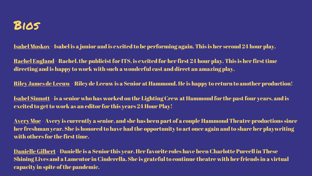

Isabel Moskov - Isabel is a junior and is excited to be performing again. This is her second 24 hour play.

Rachel England - Rachel, the publicist for ITS, is excited for her first 24 hour play. This is her first time directing and is happy to work with such a wonderful cast and direct an amazing play.

Riley James de Leeuw - Riley de Leeuw is a Senior at Hammond. He is happy to return to another production!

Isabel Sinnott- is a senior who has worked on the Lighting Crew at Hammond for the past four years, and is excited to get to work as an editor for this years 24 Hour Play!

Avery Moe - Avery is currently a senior, and she has been part of a couple Hammond Theatre productions since her freshman year. She is honored to have had the opportunity to act once again and to share her playwriting with others for the first time.

Danielle Gilbert - Danielle is a Senior this year. Her favorite roles have been Charlotte Purcell in These Shining Lives and a Lamentor in Cinderella. She is grateful to continue theatre with her friends in a virtual capacity in spite of the pandemic.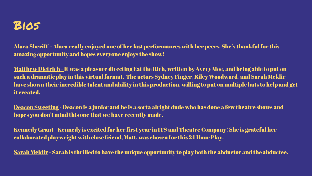

Alara Sheriff - Alara really enjoyed one of her last performances with her peers. She's thankful for this amazing opportunity and hopes everyone enjoys the show!

Matthew Dietrich - It was a pleasure directing Eat the Rich, written by Avery Moe, and being able to put on such a dramatic play in this virtual format. The actors Sydney Finger, Riley Woodward, and Sarah Meklir have shown their incredible talent and ability in this production, willing to put on multiple hats to help and get it created.

Deacon Sweeting - Deacon is a junior and he is a sorta alright dude who has done a few theatre shows and hopes you don't mind this one that we have recently made.

Kennedy Grant - Kennedy is excited for her first year in ITS and Theatre Company! She is grateful her collaborated playwright with close friend, Matt, was chosen for this 24 Hour Play.

Sarah Meklir - Sarah is thrilled to have the unique opportunity to play both the abductor and the abductee.